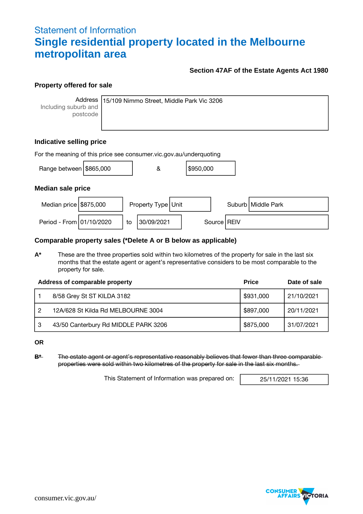## Statement of Information **Single residential property located in the Melbourne metropolitan area**

#### **Section 47AF of the Estate Agents Act 1980**

#### **Property offered for sale**

**Address** Including suburb and postcode

15/109 Nimmo Street, Middle Park Vic 3206

### **Indicative selling price**

| For the meaning of this price see consumer vic gov au/underquoting |  |    |                    |  |           |  |               |                      |
|--------------------------------------------------------------------|--|----|--------------------|--|-----------|--|---------------|----------------------|
| Range between \$865,000                                            |  |    | &                  |  | \$950,000 |  |               |                      |
| <b>Median sale price</b>                                           |  |    |                    |  |           |  |               |                      |
| Median price $$875,000$                                            |  |    | Property Type Unit |  |           |  |               | Suburb   Middle Park |
| Period - From 01/10/2020                                           |  | to | 30/09/2021         |  |           |  | Source   REIV |                      |

#### **Comparable property sales (\*Delete A or B below as applicable)**

**A\*** These are the three properties sold within two kilometres of the property for sale in the last six months that the estate agent or agent's representative considers to be most comparable to the property for sale.

|   | Address of comparable property       | <b>Price</b> | Date of sale |
|---|--------------------------------------|--------------|--------------|
|   | 8/58 Grey St ST KILDA 3182           | \$931,000    | 21/10/2021   |
| 2 | 12A/628 St Kilda Rd MELBOURNE 3004   | \$897,000    | 20/11/2021   |
| 3 | 43/50 Canterbury Rd MIDDLE PARK 3206 | \$875,000    | 31/07/2021   |

**OR**

**B\*** The estate agent or agent's representative reasonably believes that fewer than three comparable properties were sold within two kilometres of the property for sale in the last six months.

This Statement of Information was prepared on: 25/11/2021 15:36